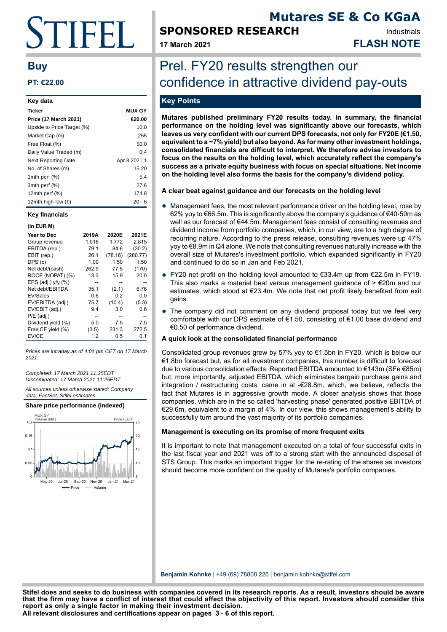# TIFEI I.

# **Buy**

# **PT: €22.00**

| Key data                    |               |
|-----------------------------|---------------|
| Ticker                      | <b>MUX GY</b> |
| Price (17 March 2021)       | €20.00        |
| Upside to Price Target (%)  | 10.0          |
| Market Cap (m)              | 255           |
| Free Float (%)              | 50.0          |
| Daily Value Traded (m)      | 0.4           |
| <b>Next Reporting Date</b>  | Apr 8 2021 1  |
| No. of Shares (m)           | 15.20         |
| 1mth perf $(\%)$            | 5.4           |
| 3mth perf (%)               | 27.6          |
| 12 $m$ th perf $(\%)$       | 174.8         |
| 12mth high-low $(\epsilon)$ | 20 - 6        |

#### **Key financials**

#### **(In EUR M)**

| Year to Dec          | 2019A | 2020E   | 2021E    |
|----------------------|-------|---------|----------|
| Group revenue        | 1.016 | 1.772   | 2,815    |
| EBITDA (rep.)        | 79.1  | 84.6    | (30.2)   |
| EBIT (rep.)          | 26.1  | (78.16) | (280.77) |
| DPS (c)              | 1.00  | 1.50    | 1.50     |
| Net debt/(cash)      | 262.9 | 77.5    | (170)    |
| ROCE (NOPAT) (%)     | 13.3  | 15.9    | 20.0     |
| EPS (adj.) $v/v$ (%) |       |         |          |
| Net debt/EBITDA      | 35.1  | (2.1)   | 6.76     |
| EV/Sales             | 0.6   | 0.2     | 0.0      |
| EV/EBITDA (adj.)     | 75.7  | (10.4)  | (5.3)    |
| EV/EBIT (adj.)       | 9.4   | 3.0     | 0.6      |
| $P/E$ (adj.)         |       |         |          |
| Dividend yield (%)   | 5.0   | 7.5     | 7.5      |
| Free CF yield (%)    | (3.5) | 231.3   | 272.5    |
| EV/CE                | 1.2   | 0.5     | 0.1      |
|                      |       |         |          |

Prices are intraday as of 4:01 pm CET on 17 March 2021

Completed: 17 March 2021 11:25EDT Disseminated: 17 March 2021 11:25EDT

All sources unless otherwise stated: Company data, FactSet, Stifel estimates



# **SPONSORED RESEARCH**

**Mutares SE & Co KGaA** Industrials

**17 March 2021 FLASH NOTE**

# Prel. FY20 results strengthen our confidence in attractive dividend pay-outs

# **Key Points**

**Mutares published preliminary FY20 results today. In summary, the financial performance on the holding level was significantly above our forecasts, which leaves us very confident with our current DPS forecasts, not only for FY20E (€1.50, equivalent to a ~7% yield) but also beyond. As for many other investment holdings, consolidated financials are difficult to interpret. We therefore advise investors to focus on the results on the holding level, which accurately reflect the company's success as a private equity business with focus on special situations. Net income on the holding level also forms the basis for the company's dividend policy.**

## **A clear beat against guidance and our forecasts on the holding level**

- Management fees, the most relevant performance driver on the holding level, rose by 62% yoy to €66.5m. This is significantly above the company's guidance of €40-50m as well as our forecast of €44.5m. Management fees consist of consulting revenues and dividend income from portfolio companies, which, in our view, are to a high degree of recurring nature. According to the press release, consulting revenues were up 47% yoy to €8.9m in Q4 alone. We note that consulting revenues naturally increase with the overall size of Mutares's investment portfolio, which expanded significantly in FY20 and continued to do so in Jan and Feb 2021.
- FY20 net profit on the holding level amounted to €33.4m up from €22.5m in FY19. This also marks a material beat versus management guidance of  $> \epsilon$ 20m and our estimates, which stood at €23.4m. We note that net profit likely benefited from exit gains.
- The company did not comment on any dividend proposal today but we feel very comfortable with our DPS estimate of €1.50, consisting of €1.00 base dividend and €0.50 of performance dividend.

### **A quick look at the consolidated financial performance**

Consolidated group revenues grew by 57% yoy to €1.5bn in FY20, which is below our €1.8bn forecast but, as for all investment companies, this number is difficult to forecast due to various consolidation effects. Reported EBITDA amounted to €143m (SFe €85m) but, more importantly, adjusted EBITDA, which eliminates bargain purchase gains and integration / restructuring costs, came in at -€28.8m, which, we believe, reflects the fact that Mutares is in aggressive growth mode. A closer analysis shows that those companies, which are in the so called 'harvesting phase' generated positive EBITDA of €29.6m, equivalent to a margin of 4%. In our view, this shows management's ability to successfully turn around the vast majority of its portfolio companies.

### **Management is executing on its promise of more frequent exits**

It is important to note that management executed on a total of four successful exits in the last fiscal year and 2021 was off to a strong start with the announced disposal of STS Group. This marks an important trigger for the re-rating of the shares as investors should become more confident on the quality of Mutares's portfolio companies.

**Benjamin Kohnke** | +49 (69) 78808 226 | benjamin.kohnke@stifel.com

**All relevant disclosures and certifications appear on pages 3 - 6 of this report. Stifel does and seeks to do business with companies covered in its research reports. As a result, investors should be aware that the firm may have a conflict of interest that could affect the objectivity of this report. Investors should consider this report as only a single factor in making their investment decision.**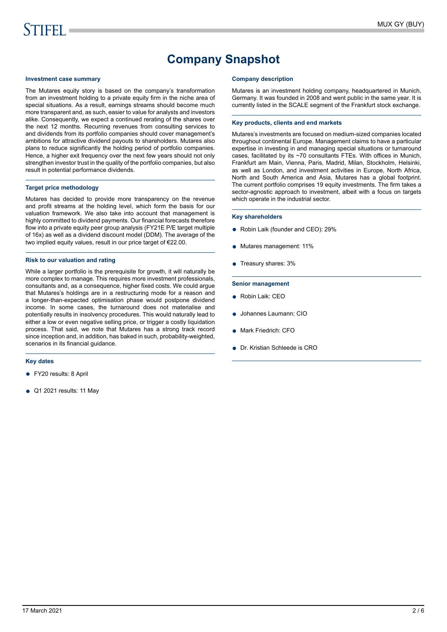# **Company Snapshot**

#### **Investment case summary**

The Mutares equity story is based on the company's transformation from an investment holding to a private equity firm in the niche area of special situations. As a result, earnings streams should become much more transparent and, as such, easier to value for analysts and investors alike. Consequently, we expect a continued rerating of the shares over the next 12 months. Recurring revenues from consulting services to and dividends from its portfolio companies should cover management's ambitions for attractive dividend payouts to shareholders. Mutares also plans to reduce significantly the holding period of portfolio companies. Hence, a higher exit frequency over the next few years should not only strengthen investor trust in the quality of the portfolio companies, but also result in potential performance dividends.

#### **Target price methodology**

Mutares has decided to provide more transparency on the revenue and profit streams at the holding level, which form the basis for our valuation framework. We also take into account that management is highly committed to dividend payments. Our financial forecasts therefore flow into a private equity peer group analysis (FY21E P/E target multiple of 16x) as well as a dividend discount model (DDM). The average of the two implied equity values, result in our price target of €22.00.

#### **Risk to our valuation and rating**

While a larger portfolio is the prerequisite for growth, it will naturally be more complex to manage. This requires more investment professionals, consultants and, as a consequence, higher fixed costs. We could argue that Mutares's holdings are in a restructuring mode for a reason and a longer-than-expected optimisation phase would postpone dividend income. In some cases, the turnaround does not materialise and potentially results in insolvency procedures. This would naturally lead to either a low or even negative selling price, or trigger a costly liquidation process. That said, we note that Mutares has a strong track record since inception and, in addition, has baked in such, probability-weighted, scenarios in its financial guidance.

#### **Key dates**

- FY20 results: 8 April
- Q1 2021 results: 11 May

#### **Company description**

Mutares is an investment holding company, headquartered in Munich, Germany. It was founded in 2008 and went public in the same year. It is currently listed in the SCALE segment of the Frankfurt stock exchange.

#### **Key products, clients and end markets**

Mutares's investments are focused on medium-sized companies located throughout continental Europe. Management claims to have a particular expertise in investing in and managing special situations or turnaround cases, facilitated by its ~70 consultants FTEs. With offices in Munich, Frankfurt am Main, Vienna, Paris, Madrid, Milan, Stockholm, Helsinki, as well as London, and investment activities in Europe, North Africa, North and South America and Asia, Mutares has a global footprint. The current portfolio comprises 19 equity investments. The firm takes a sector-agnostic approach to investment, albeit with a focus on targets which operate in the industrial sector.

#### **Key shareholders**

- Robin Laik (founder and CEO): 29%
- Mutares management: 11%
- Treasury shares: 3%

#### **Senior management**

- Robin Laik: CEO
- Johannes Laumann: CIO
- Mark Friedrich: CFO
- Dr. Kristian Schleede is CRO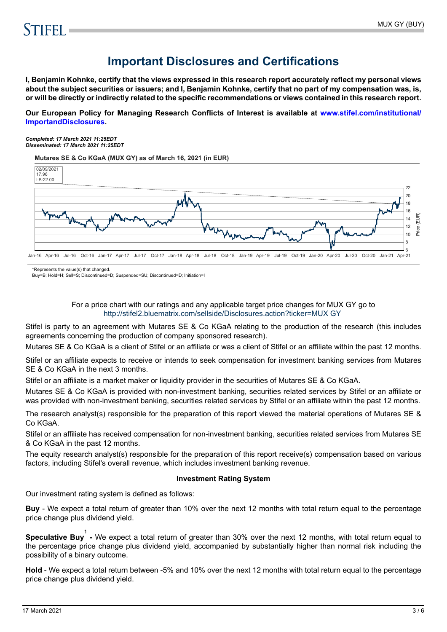# **Important Disclosures and Certifications**

**I, Benjamin Kohnke, certify that the views expressed in this research report accurately reflect my personal views about the subject securities or issuers; and I, Benjamin Kohnke, certify that no part of my compensation was, is, or will be directly or indirectly related to the specific recommendations or views contained in this research report.**

**Our European Policy for Managing Research Conflicts of Interest is available at [www.stifel.com/institutional/](https://www.stifel.com/institutional/ImportantDisclosures) [ImportandDisclosures.](https://www.stifel.com/institutional/ImportantDisclosures)**

*Completed: 17 March 2021 11:25EDT Disseminated: 17 March 2021 11:25EDT*

**Mutares SE & Co KGaA (MUX GY) as of March 16, 2021 (in EUR)**



\*Represents the value(s) that changed.

Buy=B; Hold=H; Sell=S; Discontinued=D; Suspended=SU; Discontinued=D; Initiation=I

## For a price chart with our ratings and any applicable target price changes for MUX GY go to <http://stifel2.bluematrix.com/sellside/Disclosures.action?ticker=MUX GY>

Stifel is party to an agreement with Mutares SE & Co KGaA relating to the production of the research (this includes agreements concerning the production of company sponsored research).

Mutares SE & Co KGaA is a client of Stifel or an affiliate or was a client of Stifel or an affiliate within the past 12 months.

Stifel or an affiliate expects to receive or intends to seek compensation for investment banking services from Mutares SE & Co KGaA in the next 3 months.

Stifel or an affiliate is a market maker or liquidity provider in the securities of Mutares SE & Co KGaA.

Mutares SE & Co KGaA is provided with non-investment banking, securities related services by Stifel or an affiliate or was provided with non-investment banking, securities related services by Stifel or an affiliate within the past 12 months.

The research analyst(s) responsible for the preparation of this report viewed the material operations of Mutares SE & Co KGaA.

Stifel or an affiliate has received compensation for non-investment banking, securities related services from Mutares SE & Co KGaA in the past 12 months.

The equity research analyst(s) responsible for the preparation of this report receive(s) compensation based on various factors, including Stifel's overall revenue, which includes investment banking revenue.

### **Investment Rating System**

Our investment rating system is defined as follows:

**Buy** - We expect a total return of greater than 10% over the next 12 months with total return equal to the percentage price change plus dividend yield.

**Speculative Buy**<sup>1</sup> - We expect a total return of greater than 30% over the next 12 months, with total return equal to the percentage price change plus dividend yield, accompanied by substantially higher than normal risk including the possibility of a binary outcome.

**Hold** - We expect a total return between -5% and 10% over the next 12 months with total return equal to the percentage price change plus dividend yield.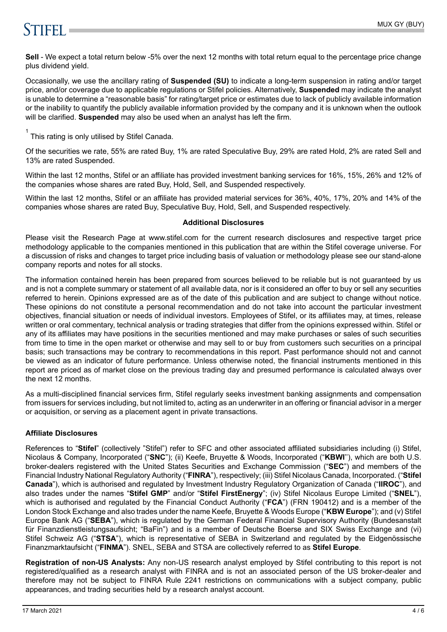# **STIFFI**

**Sell** - We expect a total return below -5% over the next 12 months with total return equal to the percentage price change plus dividend yield.

Occasionally, we use the ancillary rating of **Suspended (SU)** to indicate a long-term suspension in rating and/or target price, and/or coverage due to applicable regulations or Stifel policies. Alternatively, **Suspended** may indicate the analyst is unable to determine a "reasonable basis" for rating/target price or estimates due to lack of publicly available information or the inability to quantify the publicly available information provided by the company and it is unknown when the outlook will be clarified. **Suspended** may also be used when an analyst has left the firm.

 $1$  This rating is only utilised by Stifel Canada.

Of the securities we rate, 55% are rated Buy, 1% are rated Speculative Buy, 29% are rated Hold, 2% are rated Sell and 13% are rated Suspended.

Within the last 12 months, Stifel or an affiliate has provided investment banking services for 16%, 15%, 26% and 12% of the companies whose shares are rated Buy, Hold, Sell, and Suspended respectively.

Within the last 12 months, Stifel or an affiliate has provided material services for 36%, 40%, 17%, 20% and 14% of the companies whose shares are rated Buy, Speculative Buy, Hold, Sell, and Suspended respectively.

## **Additional Disclosures**

Please visit the Research Page at www.stifel.com for the current research disclosures and respective target price methodology applicable to the companies mentioned in this publication that are within the Stifel coverage universe. For a discussion of risks and changes to target price including basis of valuation or methodology please see our stand-alone company reports and notes for all stocks.

The information contained herein has been prepared from sources believed to be reliable but is not guaranteed by us and is not a complete summary or statement of all available data, nor is it considered an offer to buy or sell any securities referred to herein. Opinions expressed are as of the date of this publication and are subject to change without notice. These opinions do not constitute a personal recommendation and do not take into account the particular investment objectives, financial situation or needs of individual investors. Employees of Stifel, or its affiliates may, at times, release written or oral commentary, technical analysis or trading strategies that differ from the opinions expressed within. Stifel or any of its affiliates may have positions in the securities mentioned and may make purchases or sales of such securities from time to time in the open market or otherwise and may sell to or buy from customers such securities on a principal basis; such transactions may be contrary to recommendations in this report. Past performance should not and cannot be viewed as an indicator of future performance. Unless otherwise noted, the financial instruments mentioned in this report are priced as of market close on the previous trading day and presumed performance is calculated always over the next 12 months.

As a multi-disciplined financial services firm, Stifel regularly seeks investment banking assignments and compensation from issuers for services including, but not limited to, acting as an underwriter in an offering or financial advisor in a merger or acquisition, or serving as a placement agent in private transactions.

# **Affiliate Disclosures**

References to "**Stifel**" (collectively "Stifel") refer to SFC and other associated affiliated subsidiaries including (i) Stifel, Nicolaus & Company, Incorporated ("**SNC**"); (ii) Keefe, Bruyette & Woods, Incorporated ("**KBWI**''), which are both U.S. broker-dealers registered with the United States Securities and Exchange Commission ("**SEC**") and members of the Financial Industry National Regulatory Authority ("**FINRA**"), respectively; (iii) Stifel Nicolaus Canada, Incorporated. ("**Stifel Canada**"), which is authorised and regulated by Investment Industry Regulatory Organization of Canada ("**IIROC**"), and also trades under the names "**Stifel GMP**" and/or "**Stifel FirstEnergy**"; (iv) Stifel Nicolaus Europe Limited ("**SNEL**"), which is authorised and regulated by the Financial Conduct Authority ("**FCA**") (FRN 190412) and is a member of the London Stock Exchange and also trades under the name Keefe, Bruyette & Woods Europe ("**KBW Europe**"); and (v) Stifel Europe Bank AG ("**SEBA**"), which is regulated by the German Federal Financial Supervisory Authority (Bundesanstalt für Finanzdienstleistungsaufsicht; "BaFin") and is a member of Deutsche Boerse and SIX Swiss Exchange and (vi) Stifel Schweiz AG ("**STSA**"), which is representative of SEBA in Switzerland and regulated by the Eidgenössische Finanzmarktaufsicht ("**FINMA**"). SNEL, SEBA and STSA are collectively referred to as **Stifel Europe**.

**Registration of non-US Analysts:** Any non-US research analyst employed by Stifel contributing to this report is not registered/qualified as a research analyst with FINRA and is not an associated person of the US broker-dealer and therefore may not be subject to FINRA Rule 2241 restrictions on communications with a subject company, public appearances, and trading securities held by a research analyst account.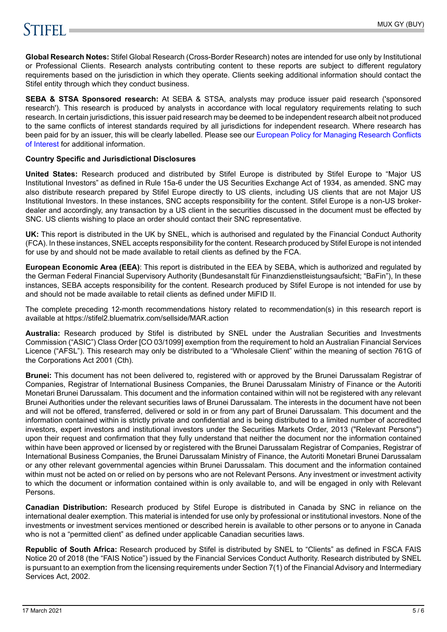# **STIFFLE**

**Global Research Notes:** Stifel Global Research (Cross-Border Research) notes are intended for use only by Institutional or Professional Clients. Research analysts contributing content to these reports are subject to different regulatory requirements based on the jurisdiction in which they operate. Clients seeking additional information should contact the Stifel entity through which they conduct business.

**SEBA & STSA Sponsored research:** At SEBA & STSA, analysts may produce issuer paid research ('sponsored research'). This research is produced by analysts in accordance with local regulatory requirements relating to such research. In certain jurisdictions, this issuer paid research may be deemed to be independent research albeit not produced to the same conflicts of interest standards required by all jurisdictions for independent research. Where research has been paid for by an issuer, this will be clearly labelled. Please see our [European Policy for Managing Research Conflicts](https://www.stifel.com/institutional/ImportantDisclosures) [of Interest](https://www.stifel.com/institutional/ImportantDisclosures) for additional information.

# **Country Specific and Jurisdictional Disclosures**

**United States:** Research produced and distributed by Stifel Europe is distributed by Stifel Europe to "Major US Institutional Investors" as defined in Rule 15a-6 under the US Securities Exchange Act of 1934, as amended. SNC may also distribute research prepared by Stifel Europe directly to US clients, including US clients that are not Major US Institutional Investors. In these instances, SNC accepts responsibility for the content. Stifel Europe is a non-US brokerdealer and accordingly, any transaction by a US client in the securities discussed in the document must be effected by SNC. US clients wishing to place an order should contact their SNC representative.

**UK:** This report is distributed in the UK by SNEL, which is authorised and regulated by the Financial Conduct Authority (FCA). In these instances, SNEL accepts responsibility for the content. Research produced by Stifel Europe is not intended for use by and should not be made available to retail clients as defined by the FCA.

**European Economic Area (EEA)**: This report is distributed in the EEA by SEBA, which is authorized and regulated by the German Federal Financial Supervisory Authority (Bundesanstalt für Finanzdienstleistungsaufsicht; "BaFin"), In these instances, SEBA accepts responsibility for the content. Research produced by Stifel Europe is not intended for use by and should not be made available to retail clients as defined under MiFID II.

The complete preceding 12-month recommendations history related to recommendation(s) in this research report is available at https://stifel2.bluematrix.com/sellside/MAR.action

**Australia:** Research produced by Stifel is distributed by SNEL under the Australian Securities and Investments Commission ("ASIC") Class Order [CO 03/1099] exemption from the requirement to hold an Australian Financial Services Licence ("AFSL"). This research may only be distributed to a "Wholesale Client" within the meaning of section 761G of the Corporations Act 2001 (Cth).

**Brunei:** This document has not been delivered to, registered with or approved by the Brunei Darussalam Registrar of Companies, Registrar of International Business Companies, the Brunei Darussalam Ministry of Finance or the Autoriti Monetari Brunei Darussalam. This document and the information contained within will not be registered with any relevant Brunei Authorities under the relevant securities laws of Brunei Darussalam. The interests in the document have not been and will not be offered, transferred, delivered or sold in or from any part of Brunei Darussalam. This document and the information contained within is strictly private and confidential and is being distributed to a limited number of accredited investors, expert investors and institutional investors under the Securities Markets Order, 2013 ("Relevant Persons") upon their request and confirmation that they fully understand that neither the document nor the information contained within have been approved or licensed by or registered with the Brunei Darussalam Registrar of Companies, Registrar of International Business Companies, the Brunei Darussalam Ministry of Finance, the Autoriti Monetari Brunei Darussalam or any other relevant governmental agencies within Brunei Darussalam. This document and the information contained within must not be acted on or relied on by persons who are not Relevant Persons. Any investment or investment activity to which the document or information contained within is only available to, and will be engaged in only with Relevant Persons.

**Canadian Distribution:** Research produced by Stifel Europe is distributed in Canada by SNC in reliance on the international dealer exemption. This material is intended for use only by professional or institutional investors. None of the investments or investment services mentioned or described herein is available to other persons or to anyone in Canada who is not a "permitted client" as defined under applicable Canadian securities laws.

**Republic of South Africa:** Research produced by Stifel is distributed by SNEL to "Clients" as defined in FSCA FAIS Notice 20 of 2018 (the "FAIS Notice") issued by the Financial Services Conduct Authority. Research distributed by SNEL is pursuant to an exemption from the licensing requirements under Section 7(1) of the Financial Advisory and Intermediary Services Act, 2002.